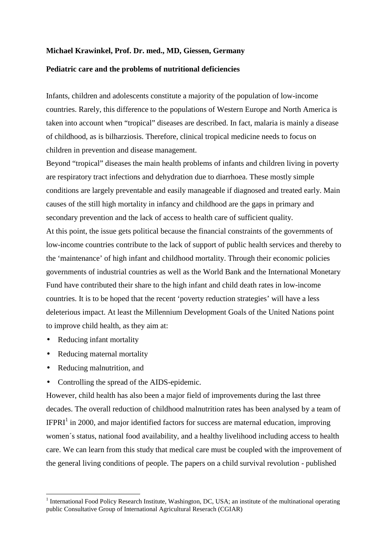## **Michael Krawinkel, Prof. Dr. med., MD, Giessen, Germany**

## **Pediatric care and the problems of nutritional deficiencies**

Infants, children and adolescents constitute a majority of the population of low-income countries. Rarely, this difference to the populations of Western Europe and North America is taken into account when "tropical" diseases are described. In fact, malaria is mainly a disease of childhood, as is bilharziosis. Therefore, clinical tropical medicine needs to focus on children in prevention and disease management.

Beyond "tropical" diseases the main health problems of infants and children living in poverty are respiratory tract infections and dehydration due to diarrhoea. These mostly simple conditions are largely preventable and easily manageable if diagnosed and treated early. Main causes of the still high mortality in infancy and childhood are the gaps in primary and secondary prevention and the lack of access to health care of sufficient quality. At this point, the issue gets political because the financial constraints of the governments of low-income countries contribute to the lack of support of public health services and thereby to the 'maintenance' of high infant and childhood mortality. Through their economic policies governments of industrial countries as well as the World Bank and the International Monetary Fund have contributed their share to the high infant and child death rates in low-income countries. It is to be hoped that the recent 'poverty reduction strategies' will have a less deleterious impact. At least the Millennium Development Goals of the United Nations point to improve child health, as they aim at:

- Reducing infant mortality
- Reducing maternal mortality
- Reducing malnutrition, and

 $\overline{a}$ 

• Controlling the spread of the AIDS-epidemic.

However, child health has also been a major field of improvements during the last three decades. The overall reduction of childhood malnutrition rates has been analysed by a team of  $I\!F\!P\!RI^1$  in 2000, and major identified factors for success are maternal education, improving women´s status, national food availability, and a healthy livelihood including access to health care. We can learn from this study that medical care must be coupled with the improvement of the general living conditions of people. The papers on a child survival revolution - published

<sup>&</sup>lt;sup>1</sup> International Food Policy Research Institute, Washington, DC, USA; an institute of the multinational operating public Consultative Group of International Agricultural Reserach (CGIAR)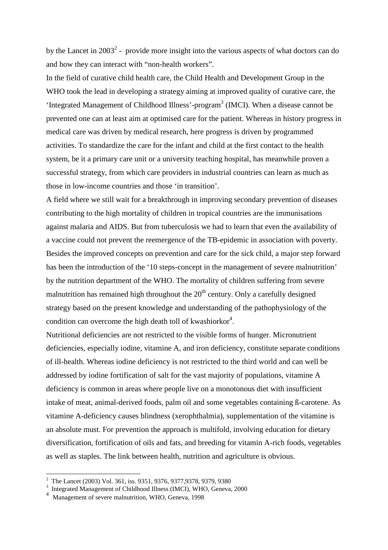by the Lancet in 2003<sup>2</sup> - provide more insight into the various aspects of what doctors can do and how they can interact with "non-health workers".

In the field of curative child health care, the Child Health and Development Group in the WHO took the lead in developing a strategy aiming at improved quality of curative care, the 'Integrated Management of Childhood Illness'-program 3 (IMCI). When a disease cannot be prevented one can at least aim at optimised care for the patient. Whereas in history progress in medical care was driven by medical research, here progress is driven by programmed activities. To standardize the care for the infant and child at the first contact to the health system, be it a primary care unit or a university teaching hospital, has meanwhile proven a successful strategy, from which care providers in industrial countries can learn as much as those in low-income countries and those 'in transition'.

A field where we still wait for a breakthrough in improving secondary prevention of diseases contributing to the high mortality of children in tropical countries are the immunisations against malaria and AIDS. But from tuberculosis we had to learn that even the availability of a vaccine could not prevent the reemergence of the TB-epidemic in association with poverty. Besides the improved concepts on prevention and care for the sick child, a major step forward has been the introduction of the '10 steps-concept in the management of severe malnutrition' by the nutrition department of the WHO. The mortality of children suffering from severe malnutrition has remained high throughout the  $20<sup>th</sup>$  century. Only a carefully designed strategy based on the present knowledge and understanding of the pathophysiology of the condition can overcome the high death toll of kwashiorkor<sup>4</sup>.

Nutritional deficiencies are not restricted to the visible forms of hunger. Micronutrient deficiencies, especially iodine, vitamine A, and iron deficiency, constitute separate conditions of ill-health. Whereas iodine deficiency is not restricted to the third world and can well be addressed by iodine fortification of salt for the vast majority of populations, vitamine A deficiency is common in areas where people live on a monotonous diet with insufficient intake of meat, animal-derived foods, palm oil and some vegetables containing ß-carotene. As vitamine A-deficiency causes blindness (xerophthalmia), supplementation of the vitamine is an absolute must. For prevention the approach is multifold, involving education for dietary diversification, fortification of oils and fats, and breeding for vitamin A-rich foods, vegetables as well as staples. The link between health, nutrition and agriculture is obvious.

 2 The Lancet (2003) Vol. 361, iss. 9351, 9376, 9377,9378, 9379, 9380

<sup>3</sup> Integrated Management of Childhood Illness (IMCI), WHO, Geneva, 2000

<sup>4</sup> Management of severe malnutrition, WHO, Geneva, 1998